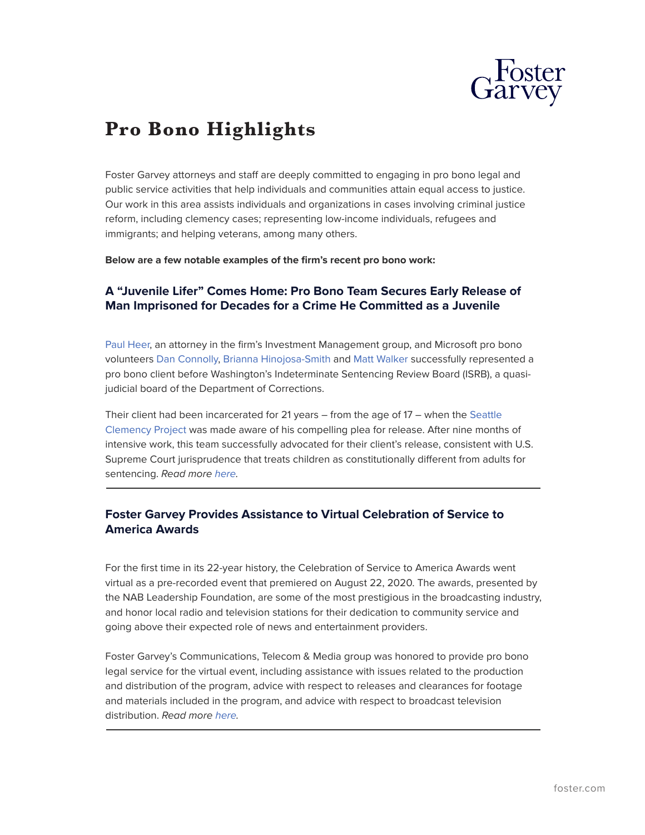

# **Pro Bono Highlights**

Foster Garvey attorneys and staff are deeply committed to engaging in pro bono legal and public service activities that help individuals and communities attain equal access to justice. Our work in this area assists individuals and organizations in cases involving criminal justice reform, including clemency cases; representing low-income individuals, refugees and immigrants; and helping veterans, among many others.

**Below are a few notable examples of the firm's recent pro bono work:**

# **A "Juvenile Lifer" Comes Home: Pro Bono Team Secures Early Release of Man Imprisoned for Decades for a Crime He Committed as a Juvenile**

[Paul Heer,](https://www.foster.com/people-paul-heer) an attorney in the firm's Investment Management group, and Microsoft pro bono volunteers [Dan Connolly,](https://www.linkedin.com/in/ACoAAAvt2vkBzXKMzO7TNZrxNyqI9dxmAt_zs1Y) [Brianna Hinojosa-Smith](https://www.linkedin.com/in/ACoAAACjPVwBZcTZxtJHWau0CHTNd1j9CasofbE) and [Matt Walker](https://www.linkedin.com/in/ACoAAAD4lS4BM-kjM2IcgvBLfeDntcAHS1wGu9Q) successfully represented a pro bono client before Washington's Indeterminate Sentencing Review Board (ISRB), a quasijudicial board of the Department of Corrections.

Their client had been incarcerated for 21 years – from the age of 17 – when the [Seattle](https://www.linkedin.com/company/seattleclemencyproject/) [Clemency Project](https://www.linkedin.com/company/seattleclemencyproject/) was made aware of his compelling plea for release. After nine months of intensive work, this team successfully advocated for their client's release, consistent with U.S. Supreme Court jurisprudence that treats children as constitutionally different from adults for sentencing. *Read more [here](https://www.foster.com/newsroom-news-foster-garvey-microsoft-pro-bono-juvenile-early-release).*  $\overline{a}$ 

# **Foster Garvey Provides Assistance to Virtual Celebration of Service to America Awards**

For the first time in its 22-year history, the Celebration of Service to America Awards went virtual as a pre-recorded event that premiered on August 22, 2020. The awards, presented by the NAB Leadership Foundation, are some of the most prestigious in the broadcasting industry, and honor local radio and television stations for their dedication to community service and going above their expected role of news and entertainment providers.

Foster Garvey's Communications, Telecom & Media group was honored to provide pro bono legal service for the virtual event, including assistance with issues related to the production and distribution of the program, advice with respect to releases and clearances for footage and materials included in the program, and advice with respect to broadcast television distribution. *Read more [here.](https://www.foster.com/newsroom-news-foster-garvey-provides-assistance-to-virtual-celebration-of-service-to-america-awards)*  $\overline{a}$